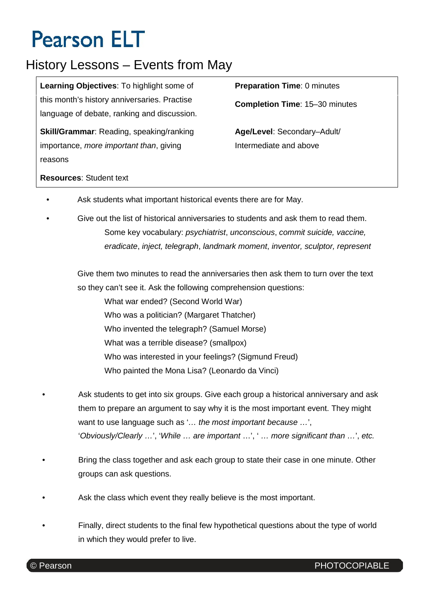# **Pearson ELT**

### History Lessons – Events from May

**Learning Objectives**: To highlight some of this month's history anniversaries. Practise language of debate, ranking and discussion.

**Skill/Grammar**: Reading, speaking/ranking importance, *more important than*, giving reasons

**Preparation Time**: 0 minutes

**Completion Time**: 15–30 minutes

**Age/Level**: Secondary–Adult/ Intermediate and above

#### **Resources**: Student text

- Ask students what important historical events there are for May.
- Give out the list of historical anniversaries to students and ask them to read them. Some key vocabulary: *psychiatrist*, *unconscious*, *commit suicide, vaccine, eradicate*, *inject, telegraph*, *landmark moment*, *inventor, sculptor, represent*

Give them two minutes to read the anniversaries then ask them to turn over the text so they can't see it. Ask the following comprehension questions:

What war ended? (Second World War) Who was a politician? (Margaret Thatcher) Who invented the telegraph? (Samuel Morse) What was a terrible disease? (smallpox) Who was interested in your feelings? (Sigmund Freud) Who painted the Mona Lisa? (Leonardo da Vinci)

- Ask students to get into six groups. Give each group a historical anniversary and ask them to prepare an argument to say why it is the most important event. They might want to use language such as '*… the most important because …*', '*Obviously/Clearly …*', '*While … are important* …', ' *… more significant than …*', *etc.*
- Bring the class together and ask each group to state their case in one minute. Other groups can ask questions.
- Ask the class which event they really believe is the most important.
- Finally, direct students to the final few hypothetical questions about the type of world in which they would prefer to live.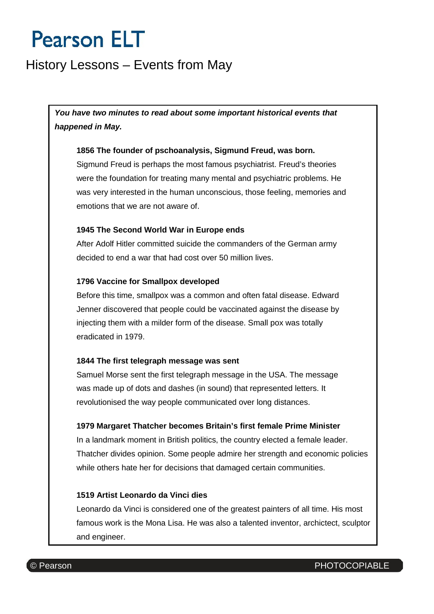## **Pearson ELT**

### History Lessons – Events from May

*You have two minutes to read about some important historical events that happened in May.*

#### **1856 The founder of pschoanalysis, Sigmund Freud, was born.**

Sigmund Freud is perhaps the most famous psychiatrist. Freud's theories were the foundation for treating many mental and psychiatric problems. He was very interested in the human unconscious, those feeling, memories and emotions that we are not aware of.

#### **1945 The Second World War in Europe ends**

After Adolf Hitler committed suicide the commanders of the German army decided to end a war that had cost over 50 million lives.

#### **1796 Vaccine for Smallpox developed**

Before this time, smallpox was a common and often fatal disease. Edward Jenner discovered that people could be vaccinated against the disease by injecting them with a milder form of the disease. Small pox was totally eradicated in 1979.

#### **1844 The first telegraph message was sent**

Samuel Morse sent the first telegraph message in the USA. The message was made up of dots and dashes (in sound) that represented letters. It revolutionised the way people communicated over long distances.

#### **1979 Margaret Thatcher becomes Britain's first female Prime Minister**

In a landmark moment in British politics, the country elected a female leader. Thatcher divides opinion. Some people admire her strength and economic policies while others hate her for decisions that damaged certain communities.

#### **1519 Artist Leonardo da Vinci dies**

Leonardo da Vinci is considered one of the greatest painters of all time. His most famous work is the Mona Lisa. He was also a talented inventor, archictect, sculptor and engineer.